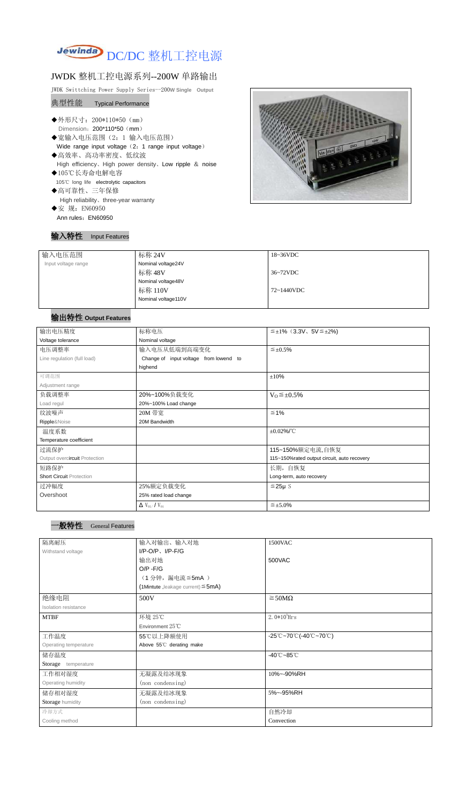

# JWDK 整机工控电源系列--200W 单路输出

JWDK Swittching Power Supply Series--200**W Single Output**

#### 典型性能 Typical Performance

- ◆外形尺寸: 200\*110\*50 (mm) Dimension: 200\*110\*50 (mm)
- ◆宽输入电压范围(2:1 输入电压范围) Wide range input voltage (2: 1 range input voltage)
- ◆高效率、高功率密度、低纹波 High efficiency、High power density、Low ripple & noise
- ◆105℃长寿命电解电容 105℃ long life electrolytic capacitors
- ◆高可靠性、三年保修 High reliability、three-year warranty ◆安 规: EN60950
- Ann rules: EN60950

### 输入特性 Input Features



| 输入电压范围              | 标称 24V              | $18~36\textrm{VDC}$ |
|---------------------|---------------------|---------------------|
| Input voltage range | Nominal voltage24V  |                     |
|                     | 标称 48V              | 36~72VDC            |
|                     | Nominal voltage48V  |                     |
|                     | 标称 110V             | 72~1440VDC          |
|                     | Nominal voltage110V |                     |
|                     |                     |                     |

# 输出特性 **Output Features**

# 一般特性 General Features

| 输出电压精度                          | 标称电压                                      | $\leq \pm 1\%$ (3.3V, 5V $\leq \pm 2\%$ )   |  |
|---------------------------------|-------------------------------------------|---------------------------------------------|--|
| Voltage tolerance               | Nominal voltage                           |                                             |  |
| 电压调整率                           | 输入电压从低端到高端变化                              | $\leq \pm 0.5\%$                            |  |
| Line regulation (full load)     | Change of input voltage from lowend to    |                                             |  |
|                                 | highend                                   |                                             |  |
| 可调范围                            |                                           | ±10%                                        |  |
| Adjustment range                |                                           |                                             |  |
| 负载调整率                           | 20%~100%负载变化                              | $V_0 \leq \pm 0.5\%$                        |  |
| Load regul                      | 20%~100% Load change                      |                                             |  |
| 纹波噪声                            | 20M 带宽                                    | $\leq 1\%$                                  |  |
| Ripple&Noise                    | 20M Bandwidth                             |                                             |  |
| 温度系数                            |                                           | $\pm 0.02\%$ /°C                            |  |
| Temperature coefficient         |                                           |                                             |  |
| 过流保护                            |                                           | 115~150%额定电流,自恢复                            |  |
| Output overcircuit Protection   |                                           | 115~150%rated output circuit, auto recovery |  |
| 短路保护                            |                                           | 长期, 自恢复                                     |  |
| <b>Short Circuit Protection</b> |                                           | Long-term, auto recovery                    |  |
| 过冲幅度                            | 25%额定负载变化                                 | $≤25\mu$ S                                  |  |
| Overshoot                       | 25% rated load change                     |                                             |  |
|                                 | $\Delta$ V <sub>01</sub> /V <sub>01</sub> | $\leq \pm 5.0\%$                            |  |

| 隔离耐压                  | 输入对输出、输入对地                              | 1500VAC                                                                                       |
|-----------------------|-----------------------------------------|-----------------------------------------------------------------------------------------------|
| Withstand voltage     | $I/P$ -O/P, $I/P$ -F/G                  |                                                                                               |
|                       | 输出对地                                    | 500VAC                                                                                        |
|                       | $O/P - F/G$                             |                                                                                               |
|                       | (1分钟,漏电流≦5mA)                           |                                                                                               |
|                       | (1Mintute, leakage current) $\leq$ 5mA) |                                                                                               |
| 绝缘电阻                  | 500V                                    | $\geq$ 50M $\Omega$                                                                           |
| Isolation resistance  |                                         |                                                                                               |
| <b>MTBF</b>           | 环境 25℃                                  | $2.0*105$ Hrs                                                                                 |
|                       | Environment $25^{\circ}$ C              |                                                                                               |
| 工作温度                  | 55℃以上降额使用                               | $-25^{\circ}\text{C}$ ~70 $^{\circ}\text{C}$ (-40 $^{\circ}\text{C}$ ~70 $^{\circ}\text{C}$ ) |
| Operating temperature | Above 55°C derating make                |                                                                                               |
| 储存温度                  |                                         | $-40^{\circ}$ C $-85^{\circ}$ C                                                               |
| Storage temperature   |                                         |                                                                                               |
| 工作相对湿度                | 无凝露及结冰现象                                | 10%~-90%RH                                                                                    |
| Operating humidity    | (non condensing)                        |                                                                                               |
| 储存相对湿度                | 无凝露及结冰现象                                | 5%~-95%RH                                                                                     |
| Storage humidity      | (non condensing)                        |                                                                                               |
| 冷却方式                  |                                         | 自然冷却                                                                                          |
| Cooling method        |                                         | Convection                                                                                    |